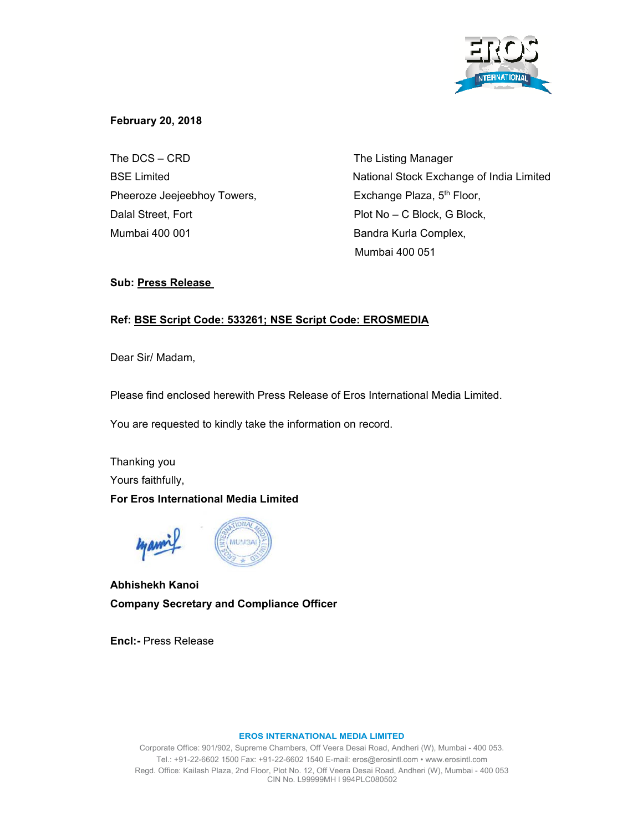

## **February 20, 2018**

The DCS – CRD The Listing Manager Pheeroze Jeejeebhoy Towers, Exchange Plaza, 5<sup>th</sup> Floor, Dalal Street, Fort **Plot No – C Block, G Block**, Mumbai 400 001 **Bandra Kurla Complex,** 

BSE Limited **National Stock Exchange of India Limited** Mumbai 400 051

## **Sub: Press Release**

# **Ref: BSE Script Code: 533261; NSE Script Code: EROSMEDIA**

Dear Sir/ Madam,

Please find enclosed herewith Press Release of Eros International Media Limited.

You are requested to kindly take the information on record.

Thanking you Yours faithfully, **For Eros International Media Limited** 



**Abhishekh Kanoi Company Secretary and Compliance Officer** 

**Encl:-** Press Release

## **EROS INTERNATIONAL MEDIA LIMITED**

Corporate Office: 901/902, Supreme Chambers, Off Veera Desai Road, Andheri (W), Mumbai - 400 053. Tel.: +91-22-6602 1500 Fax: +91-22-6602 1540 E-mail: eros@erosintl.com • www.erosintl.com Regd. Office: Kailash Plaza, 2nd Floor, Plot No. 12, Off Veera Desai Road, Andheri (W), Mumbai - 400 053 CIN No. L99999MH l 994PLC080502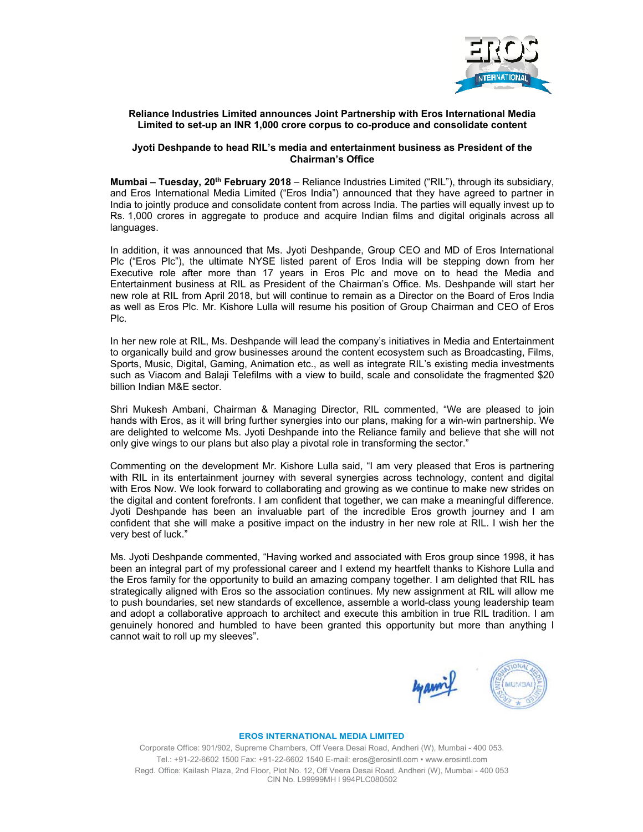

## **Reliance Industries Limited announces Joint Partnership with Eros International Media Limited to set-up an INR 1,000 crore corpus to co-produce and consolidate content**

## **Jyoti Deshpande to head RIL's media and entertainment business as President of the Chairman's Office**

**Mumbai – Tuesday, 20th February 2018** – Reliance Industries Limited ("RIL"), through its subsidiary, and Eros International Media Limited ("Eros India") announced that they have agreed to partner in India to jointly produce and consolidate content from across India. The parties will equally invest up to Rs. 1,000 crores in aggregate to produce and acquire Indian films and digital originals across all languages.

In addition, it was announced that Ms. Jyoti Deshpande, Group CEO and MD of Eros International Plc ("Eros Plc"), the ultimate NYSE listed parent of Eros India will be stepping down from her Executive role after more than 17 years in Eros Plc and move on to head the Media and Entertainment business at RIL as President of the Chairman's Office. Ms. Deshpande will start her new role at RIL from April 2018, but will continue to remain as a Director on the Board of Eros India as well as Eros Plc. Mr. Kishore Lulla will resume his position of Group Chairman and CEO of Eros Plc.

In her new role at RIL, Ms. Deshpande will lead the company's initiatives in Media and Entertainment to organically build and grow businesses around the content ecosystem such as Broadcasting, Films, Sports, Music, Digital, Gaming, Animation etc., as well as integrate RIL's existing media investments such as Viacom and Balaji Telefilms with a view to build, scale and consolidate the fragmented \$20 billion Indian M&E sector.

Shri Mukesh Ambani, Chairman & Managing Director, RIL commented, "We are pleased to join hands with Eros, as it will bring further synergies into our plans, making for a win-win partnership. We are delighted to welcome Ms. Jyoti Deshpande into the Reliance family and believe that she will not only give wings to our plans but also play a pivotal role in transforming the sector."

Commenting on the development Mr. Kishore Lulla said, "I am very pleased that Eros is partnering with RIL in its entertainment journey with several synergies across technology, content and digital with Eros Now. We look forward to collaborating and growing as we continue to make new strides on the digital and content forefronts. I am confident that together, we can make a meaningful difference. Jyoti Deshpande has been an invaluable part of the incredible Eros growth journey and I am confident that she will make a positive impact on the industry in her new role at RIL. I wish her the very best of luck."

Ms. Jyoti Deshpande commented, "Having worked and associated with Eros group since 1998, it has been an integral part of my professional career and I extend my heartfelt thanks to Kishore Lulla and the Eros family for the opportunity to build an amazing company together. I am delighted that RIL has strategically aligned with Eros so the association continues. My new assignment at RIL will allow me to push boundaries, set new standards of excellence, assemble a world-class young leadership team and adopt a collaborative approach to architect and execute this ambition in true RIL tradition. I am genuinely honored and humbled to have been granted this opportunity but more than anything I cannot wait to roll up my sleeves".



#### **EROS INTERNATIONAL MEDIA LIMITED**

Corporate Office: 901/902, Supreme Chambers, Off Veera Desai Road, Andheri (W), Mumbai - 400 053. Tel.: +91-22-6602 1500 Fax: +91-22-6602 1540 E-mail: eros@erosintl.com • www.erosintl.com Regd. Office: Kailash Plaza, 2nd Floor, Plot No. 12, Off Veera Desai Road, Andheri (W), Mumbai - 400 053 CIN No. L99999MH l 994PLC080502